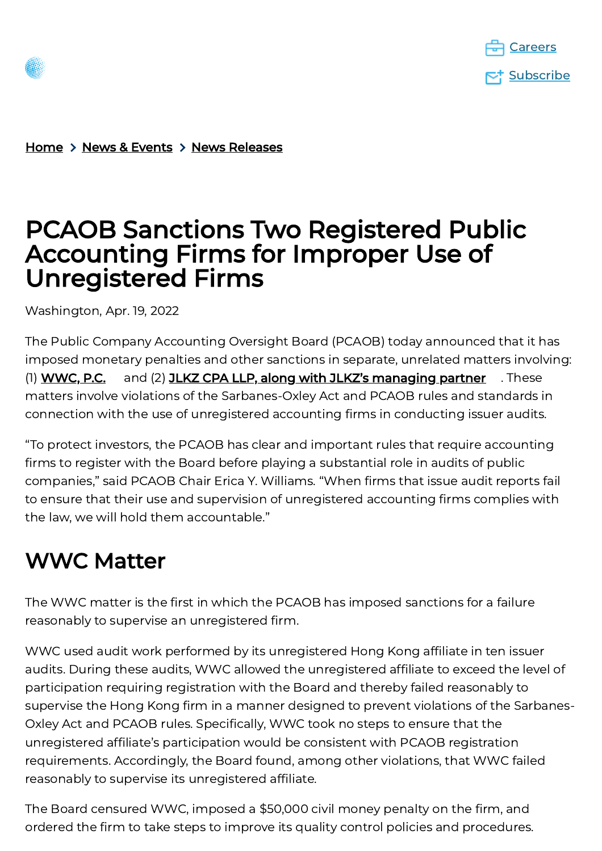



[Home](https://pcaobus.org/)  $\rightarrow$  News & [Events](https://pcaobus.org/news-events)  $\rightarrow$  News [Releases](https://pcaobus.org/news-events/news-releases)

## PCAOB Sanctions Two Registered Public Accounting Firms for Improper Use of Unregistered Firms

Washington, Apr. 19, 2022

The Public Company Accounting Oversight Board (PCAOB) today announced that it has imposed monetary penalties and other sanctions in separate, unrelated matters involving: (1) **[WWC,](https://pcaob-assets.azureedge.net/pcaob-dev/docs/default-source/enforcement/decisions/documents/105-2022-006_wwc.pdf?sfvrsn=79f31fa2_2/105-2022-006_WWC.pdf) P.C.** and (2) **JLKZ CPA LLP, along with JLKZ's [managing](https://pcaob-assets.azureedge.net/pcaob-dev/docs/default-source/enforcement/decisions/documents/105-2022-005_jlkz.pdf?sfvrsn=d857de41_2/105-2022-005_JLKZ.pdf) partner** . These matters involve violations of the Sarbanes-Oxley Act and PCAOB rules and standards in connection with the use of unregistered accounting firms in conducting issuer audits.

"To protect investors, the PCAOB has clear and important rules that require accounting firms to register with the Board before playing a substantial role in audits of public companies," said PCAOB Chair Erica Y. Williams. "When firms that issue audit reports fail to ensure that their use and supervision of unregistered accounting firms complies with the law, we will hold them accountable."

### WWC Matter

The WWC matter is the first in which the PCAOB has imposed sanctions for a failure reasonably to supervise an unregistered firm.

WWC used audit work performed by its unregistered Hong Kong affiliate in ten issuer audits. During these audits, WWC allowed the unregistered affiliate to exceed the level of participation requiring registration with the Board and thereby failed reasonably to supervise the Hong Kong firm in a manner designed to prevent violations of the Sarbanes-Oxley Act and PCAOB rules. Specifically, WWC took no steps to ensure that the unregistered affiliate's participation would be consistent with PCAOB registration requirements. Accordingly, the Board found, among other violations, that WWC failed reasonably to supervise its unregistered affiliate.

The Board censured WWC, imposed a \$50,000 civil money penalty on the firm, and ordered the firm to take steps to improve its quality control policies and procedures.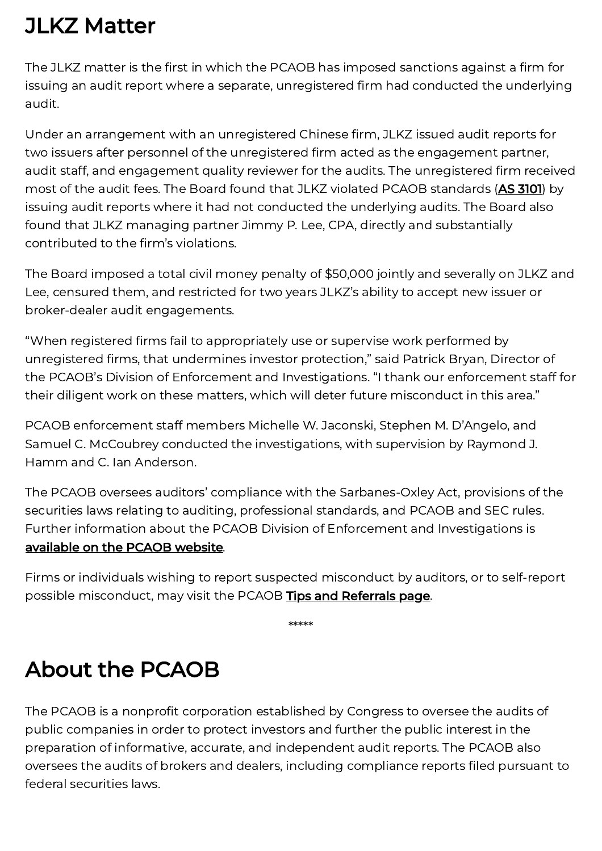## JLKZ Matter

The JLKZ matter is the first in which the PCAOB has imposed sanctions against a firm for issuing an audit report where a separate, unregistered firm had conducted the underlying audit.

Under an arrangement with an unregistered Chinese firm, JLKZ issued audit reports for two issuers after personnel of the unregistered firm acted as the engagement partner, audit staff, and engagement quality reviewer for the audits. The unregistered firm received most of the audit fees. The Board found that JLKZ violated PCAOB standards (AS [3101](https://pcaobus.org/oversight/standards/auditing-standards/details/AS3101)) by issuing audit reports where it had not conducted the underlying audits. The Board also found that JLKZ managing partner Jimmy P. Lee, CPA, directly and substantially contributed to the firm's violations.

The Board imposed a total civil money penalty of \$50,000 jointly and severally on JLKZ and Lee, censured them, and restricted for two years JLKZ's ability to accept new issuer or broker-dealer audit engagements.

"When registered firms fail to appropriately use or supervise work performed by unregistered firms, that undermines investor protection," said Patrick Bryan, Director of the PCAOB's Division of Enforcement and Investigations. "I thank our enforcement staff for their diligent work on these matters, which will deter future misconduct in this area."

PCAOB enforcement staff members Michelle W. Jaconski, Stephen M. D'Angelo, and Samuel C. McCoubrey conducted the investigations, with supervision by Raymond J. Hamm and C. Ian Anderson.

The PCAOB oversees auditors' compliance with the Sarbanes-Oxley Act, provisions of the securities laws relating to auditing, professional standards, and PCAOB and SEC rules. Further information about the PCAOB Division of Enforcement and Investigations is [available](https://pcaobus.org/oversight/standards/auditing-standards/details/AS3101) on the PCAOB website.

Firms or individuals wishing to report suspected misconduct by auditors, or to self-report possible misconduct, may visit the PCAOB **Tips and [Referrals](https://pcaobus.org/oversight/enforcement/tips-referrals) page**.

\*\*\*\*\*

# About the PCAOB

The PCAOB is a nonprofit corporation established by Congress to oversee the audits of public companies in order to protect investors and further the public interest in the preparation of informative, accurate, and independent audit reports. The PCAOB also oversees the audits of brokers and dealers, including compliance reports filed pursuant to federal securities laws.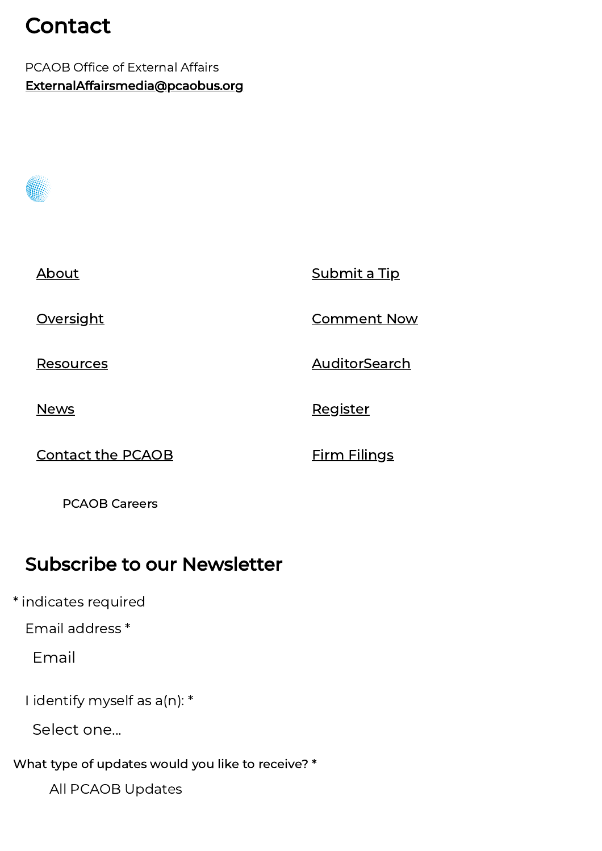## Contact

PCAOB Office of External Affairs [ExternalAffairsmedia@pcaobus.org](mailto:ExternalAffairsmedia@pcaobus.org)

| About                    | Submit a Tip        |
|--------------------------|---------------------|
| <b>Oversight</b>         | <b>Comment Now</b>  |
| <u>Resources</u>         | AuditorSearch       |
| <b>News</b>              | Register            |
| <b>Contact the PCAOB</b> | <b>Firm Filings</b> |

PCAOB [Careers](https://pcaobus.org/careers)

#### Subscribe to our Newsletter

Email address \*

Email

I identify myself as a(n): \*

Select one...

What type of updates would you like to receive? \*

All PCAOB Updates